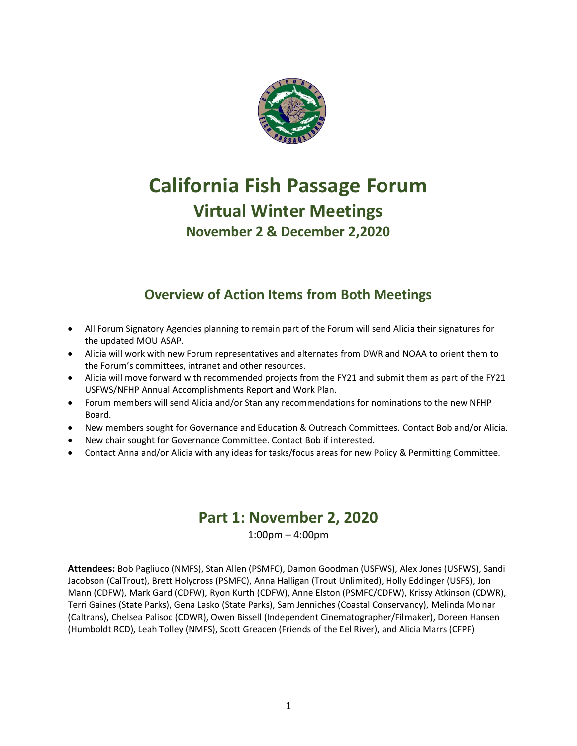

# **California Fish Passage Forum Virtual Winter Meetings November 2 & December 2,2020**

## **Overview of Action Items from Both Meetings**

- All Forum Signatory Agencies planning to remain part of the Forum will send Alicia their signatures for the updated MOU ASAP.
- Alicia will work with new Forum representatives and alternates from DWR and NOAA to orient them to the Forum's committees, intranet and other resources.
- Alicia will move forward with recommended projects from the FY21 and submit them as part of the FY21 USFWS/NFHP Annual Accomplishments Report and Work Plan.
- Forum members will send Alicia and/or Stan any recommendations for nominations to the new NFHP Board.
- New members sought for Governance and Education & Outreach Committees. Contact Bob and/or Alicia.
- New chair sought for Governance Committee. Contact Bob if interested.
- Contact Anna and/or Alicia with any ideas for tasks/focus areas for new Policy & Permitting Committee.

## **Part 1: November 2, 2020**

1:00pm – 4:00pm

**Attendees:** Bob Pagliuco (NMFS), Stan Allen (PSMFC), Damon Goodman (USFWS), Alex Jones (USFWS), Sandi Jacobson (CalTrout), Brett Holycross (PSMFC), Anna Halligan (Trout Unlimited), Holly Eddinger (USFS), Jon Mann (CDFW), Mark Gard (CDFW), Ryon Kurth (CDFW), Anne Elston (PSMFC/CDFW), Krissy Atkinson (CDWR), Terri Gaines (State Parks), Gena Lasko (State Parks), Sam Jenniches (Coastal Conservancy), Melinda Molnar (Caltrans), Chelsea Palisoc (CDWR), Owen Bissell (Independent Cinematographer/Filmaker), Doreen Hansen (Humboldt RCD), Leah Tolley (NMFS), Scott Greacen (Friends of the Eel River), and Alicia Marrs (CFPF)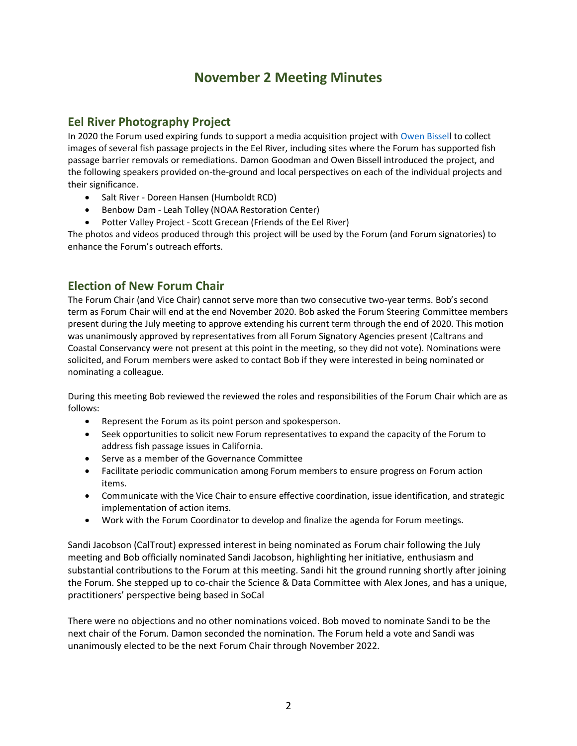### **November 2 Meeting Minutes**

#### **Eel River Photography Project**

In 2020 the Forum used expiring funds to support a media acquisition project with [Owen Bissell](https://www.owenbissell.com/) to collect images of several fish passage projects in the Eel River, including sites where the Forum has supported fish passage barrier removals or remediations. Damon Goodman and Owen Bissell introduced the project, and the following speakers provided on-the-ground and local perspectives on each of the individual projects and their significance.

- Salt River Doreen Hansen (Humboldt RCD)
- Benbow Dam Leah Tolley (NOAA Restoration Center)
- Potter Valley Project Scott Grecean (Friends of the Eel River)

The photos and videos produced through this project will be used by the Forum (and Forum signatories) to enhance the Forum's outreach efforts.

#### **Election of New Forum Chair**

The Forum Chair (and Vice Chair) cannot serve more than two consecutive two-year terms. Bob's second term as Forum Chair will end at the end November 2020. Bob asked the Forum Steering Committee members present during the July meeting to approve extending his current term through the end of 2020. This motion was unanimously approved by representatives from all Forum Signatory Agencies present (Caltrans and Coastal Conservancy were not present at this point in the meeting, so they did not vote). Nominations were solicited, and Forum members were asked to contact Bob if they were interested in being nominated or nominating a colleague.

During this meeting Bob reviewed the reviewed the roles and responsibilities of the Forum Chair which are as follows:

- Represent the Forum as its point person and spokesperson.
- Seek opportunities to solicit new Forum representatives to expand the capacity of the Forum to address fish passage issues in California.
- Serve as a member of the Governance Committee
- Facilitate periodic communication among Forum members to ensure progress on Forum action items.
- Communicate with the Vice Chair to ensure effective coordination, issue identification, and strategic implementation of action items.
- Work with the Forum Coordinator to develop and finalize the agenda for Forum meetings.

Sandi Jacobson (CalTrout) expressed interest in being nominated as Forum chair following the July meeting and Bob officially nominated Sandi Jacobson, highlighting her initiative, enthusiasm and substantial contributions to the Forum at this meeting. Sandi hit the ground running shortly after joining the Forum. She stepped up to co-chair the Science & Data Committee with Alex Jones, and has a unique, practitioners' perspective being based in SoCal

There were no objections and no other nominations voiced. Bob moved to nominate Sandi to be the next chair of the Forum. Damon seconded the nomination. The Forum held a vote and Sandi was unanimously elected to be the next Forum Chair through November 2022.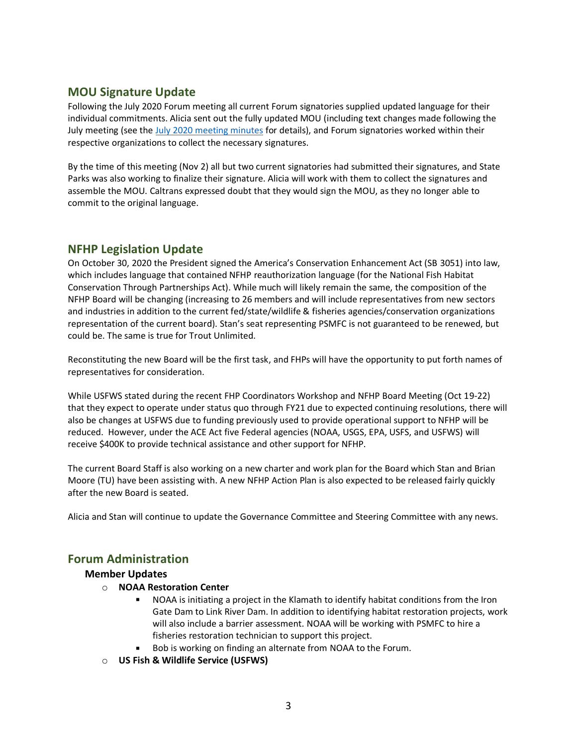#### **MOU Signature Update**

Following the July 2020 Forum meeting all current Forum signatories supplied updated language for their individual commitments. Alicia sent out the fully updated MOU (including text changes made following the July meeting (see th[e July 2020 meeting minutes](https://23789655-514a-4d18-b49f-97d3d71f6b5f.filesusr.com/ugd/31aff8_48f518b2acc64d5189ce0ce7118027c1.pdf) for details), and Forum signatories worked within their respective organizations to collect the necessary signatures.

By the time of this meeting (Nov 2) all but two current signatories had submitted their signatures, and State Parks was also working to finalize their signature. Alicia will work with them to collect the signatures and assemble the MOU. Caltrans expressed doubt that they would sign the MOU, as they no longer able to commit to the original language.

#### **NFHP Legislation Update**

On October 30, 2020 the President signed the America's Conservation Enhancement Act (SB 3051) into law, which includes language that contained NFHP reauthorization language (for the National Fish Habitat Conservation Through Partnerships Act). While much will likely remain the same, the composition of the NFHP Board will be changing (increasing to 26 members and will include representatives from new sectors and industries in addition to the current fed/state/wildlife & fisheries agencies/conservation organizations representation of the current board). Stan's seat representing PSMFC is not guaranteed to be renewed, but could be. The same is true for Trout Unlimited.

Reconstituting the new Board will be the first task, and FHPs will have the opportunity to put forth names of representatives for consideration.

While USFWS stated during the recent FHP Coordinators Workshop and NFHP Board Meeting (Oct 19-22) that they expect to operate under status quo through FY21 due to expected continuing resolutions, there will also be changes at USFWS due to funding previously used to provide operational support to NFHP will be reduced. However, under the ACE Act five Federal agencies (NOAA, USGS, EPA, USFS, and USFWS) will receive \$400K to provide technical assistance and other support for NFHP.

The current Board Staff is also working on a new charter and work plan for the Board which Stan and Brian Moore (TU) have been assisting with. A new NFHP Action Plan is also expected to be released fairly quickly after the new Board is seated.

Alicia and Stan will continue to update the Governance Committee and Steering Committee with any news.

#### **Forum Administration**

#### **Member Updates**

#### o **NOAA Restoration Center**

- NOAA is initiating a project in the Klamath to identify habitat conditions from the Iron Gate Dam to Link River Dam. In addition to identifying habitat restoration projects, work will also include a barrier assessment. NOAA will be working with PSMFC to hire a fisheries restoration technician to support this project.
- Bob is working on finding an alternate from NOAA to the Forum.
- o **US Fish & Wildlife Service (USFWS)**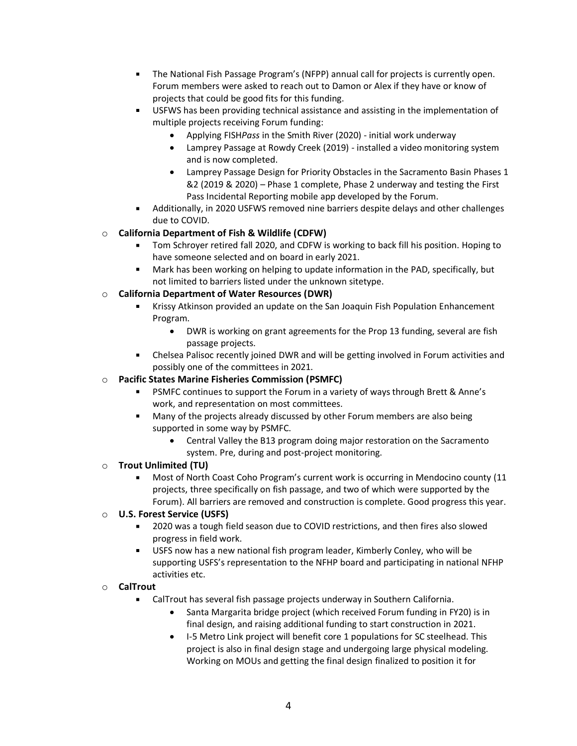- The National Fish Passage Program's (NFPP) annual call for projects is currently open.  $\mathbf{r}$ Forum members were asked to reach out to Damon or Alex if they have or know of projects that could be good fits for this funding.
- USFWS has been providing technical assistance and assisting in the implementation of  $\blacksquare$ multiple projects receiving Forum funding:
	- Applying FISH*Pass* in the Smith River (2020) initial work underway
	- Lamprey Passage at Rowdy Creek (2019) installed a video monitoring system and is now completed.
	- Lamprey Passage Design for Priority Obstacles in the Sacramento Basin Phases 1 &2 (2019 & 2020) – Phase 1 complete, Phase 2 underway and testing the First Pass Incidental Reporting mobile app developed by the Forum.
- Additionally, in 2020 USFWS removed nine barriers despite delays and other challenges due to COVID.

#### o **California Department of Fish & Wildlife (CDFW)**

- Tom Schroyer retired fall 2020, and CDFW is working to back fill his position. Hoping to have someone selected and on board in early 2021.
- $\blacksquare$ Mark has been working on helping to update information in the PAD, specifically, but not limited to barriers listed under the unknown sitetype.

#### o **California Department of Water Resources (DWR)**

- Krissy Atkinson provided an update on the San Joaquin Fish Population Enhancement Program.
	- DWR is working on grant agreements for the Prop 13 funding, several are fish passage projects.
- $\mathbf{m} = 0$ Chelsea Palisoc recently joined DWR and will be getting involved in Forum activities and possibly one of the committees in 2021.

#### o **Pacific States Marine Fisheries Commission (PSMFC)**

- PSMFC continues to support the Forum in a variety of ways through Brett & Anne's  $\blacksquare$ work, and representation on most committees.
- Many of the projects already discussed by other Forum members are also being supported in some way by PSMFC.
	- Central Valley the B13 program doing major restoration on the Sacramento system. Pre, during and post-project monitoring.

#### o **Trout Unlimited (TU)**

Most of North Coast Coho Program's current work is occurring in Mendocino county (11 projects, three specifically on fish passage, and two of which were supported by the Forum). All barriers are removed and construction is complete. Good progress this year.

#### o **U.S. Forest Service (USFS)**

- 2020 was a tough field season due to COVID restrictions, and then fires also slowed progress in field work.
- USFS now has a new national fish program leader, Kimberly Conley, who will be  $\blacksquare$ supporting USFS's representation to the NFHP board and participating in national NFHP activities etc.

#### o **CalTrout**

- CalTrout has several fish passage projects underway in Southern California.
	- Santa Margarita bridge project (which received Forum funding in FY20) is in final design, and raising additional funding to start construction in 2021.
	- I-5 Metro Link project will benefit core 1 populations for SC steelhead. This project is also in final design stage and undergoing large physical modeling. Working on MOUs and getting the final design finalized to position it for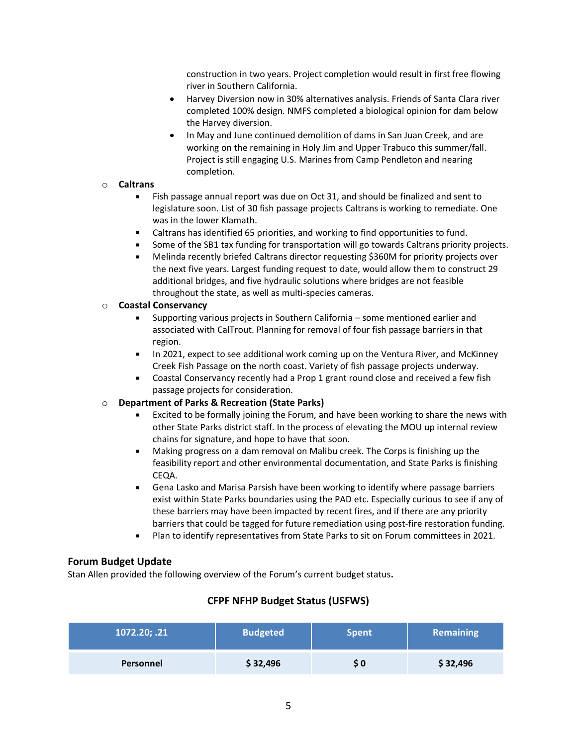construction in two years. Project completion would result in first free flowing river in Southern California.

- Harvey Diversion now in 30% alternatives analysis. Friends of Santa Clara river completed 100% design. NMFS completed a biological opinion for dam below the Harvey diversion.
- In May and June continued demolition of dams in San Juan Creek, and are working on the remaining in Holy Jim and Upper Trabuco this summer/fall. Project is still engaging U.S. Marines from Camp Pendleton and nearing completion.

#### o **Caltrans**

- Fish passage annual report was due on Oct 31, and should be finalized and sent to legislature soon. List of 30 fish passage projects Caltrans is working to remediate. One was in the lower Klamath.
- $\mathbf{r}$ Caltrans has identified 65 priorities, and working to find opportunities to fund.
- Some of the SB1 tax funding for transportation will go towards Caltrans priority projects.  $\mathbf{r}$
- $\mathbf{r}$ Melinda recently briefed Caltrans director requesting \$360M for priority projects over the next five years. Largest funding request to date, would allow them to construct 29 additional bridges, and five hydraulic solutions where bridges are not feasible throughout the state, as well as multi-species cameras.

#### o **Coastal Conservancy**

- Supporting various projects in Southern California some mentioned earlier and associated with CalTrout. Planning for removal of four fish passage barriers in that region.
- In 2021, expect to see additional work coming up on the Ventura River, and McKinney  $\mathbf{m} = 0$ Creek Fish Passage on the north coast. Variety of fish passage projects underway.
- $\blacksquare$ Coastal Conservancy recently had a Prop 1 grant round close and received a few fish passage projects for consideration.

#### o **Department of Parks & Recreation (State Parks)**

- Excited to be formally joining the Forum, and have been working to share the news with other State Parks district staff. In the process of elevating the MOU up internal review chains for signature, and hope to have that soon.
- $\blacksquare$ Making progress on a dam removal on Malibu creek. The Corps is finishing up the feasibility report and other environmental documentation, and State Parks is finishing CEQA.
- Gena Lasko and Marisa Parsish have been working to identify where passage barriers exist within State Parks boundaries using the PAD etc. Especially curious to see if any of these barriers may have been impacted by recent fires, and if there are any priority barriers that could be tagged for future remediation using post-fire restoration funding.
- $\blacksquare$ Plan to identify representatives from State Parks to sit on Forum committees in 2021.

#### **Forum Budget Update**

Stan Allen provided the following overview of the Forum's current budget status**.** 

#### **CFPF NFHP Budget Status (USFWS)**

| 1072.20; .21 | <b>Budgeted</b> | <b>Spent</b> | <b>Remaining</b> |
|--------------|-----------------|--------------|------------------|
| Personnel    | \$32,496        | S 0          | \$32,496         |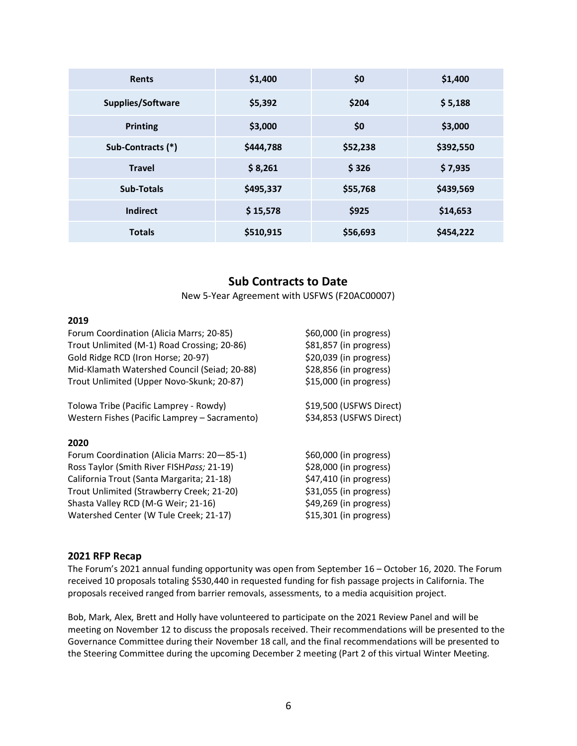| <b>Rents</b>             | \$1,400   | \$0      | \$1,400   |
|--------------------------|-----------|----------|-----------|
| <b>Supplies/Software</b> | \$5,392   | \$204    | \$5,188   |
| <b>Printing</b>          | \$3,000   | \$0      | \$3,000   |
| Sub-Contracts (*)        | \$444,788 | \$52,238 | \$392,550 |
| <b>Travel</b>            | \$8,261   | \$326    | \$7,935   |
| <b>Sub-Totals</b>        | \$495,337 | \$55,768 | \$439,569 |
| Indirect                 | \$15,578  | \$925    | \$14,653  |
| <b>Totals</b>            | \$510,915 | \$56,693 | \$454,222 |

#### **Sub Contracts to Date**

New 5-Year Agreement with USFWS (F20AC00007)

#### **2019**

| Forum Coordination (Alicia Marrs; 20-85)      | \$60,000 (in progress)  |
|-----------------------------------------------|-------------------------|
| Trout Unlimited (M-1) Road Crossing; 20-86)   | \$81,857 (in progress)  |
| Gold Ridge RCD (Iron Horse; 20-97)            | \$20,039 (in progress)  |
| Mid-Klamath Watershed Council (Seiad; 20-88)  | \$28,856 (in progress)  |
| Trout Unlimited (Upper Novo-Skunk; 20-87)     | \$15,000 (in progress)  |
| Tolowa Tribe (Pacific Lamprey - Rowdy)        | \$19,500 (USFWS Direct) |
| Western Fishes (Pacific Lamprey - Sacramento) | \$34,853 (USFWS Direct) |
| 2020                                          |                         |
| Forum Coordination (Alicia Marrs: 20-85-1)    | \$60,000 (in progress)  |
| Ross Taylor (Smith River FISHPass; 21-19)     | \$28,000 (in progress)  |
| California Trout (Santa Margarita; 21-18)     | \$47,410 (in progress)  |
| Trout Unlimited (Strawberry Creek; 21-20)     | \$31,055 (in progress)  |
| Shasta Valley RCD (M-G Weir; 21-16)           | \$49,269 (in progress)  |
| Watershed Center (W Tule Creek; 21-17)        | \$15,301 (in progress)  |

#### **2021 RFP Recap**

The Forum's 2021 annual funding opportunity was open from September 16 – October 16, 2020. The Forum received 10 proposals totaling \$530,440 in requested funding for fish passage projects in California. The proposals received ranged from barrier removals, assessments, to a media acquisition project.

Bob, Mark, Alex, Brett and Holly have volunteered to participate on the 2021 Review Panel and will be meeting on November 12 to discuss the proposals received. Their recommendations will be presented to the Governance Committee during their November 18 call, and the final recommendations will be presented to the Steering Committee during the upcoming December 2 meeting (Part 2 of this virtual Winter Meeting.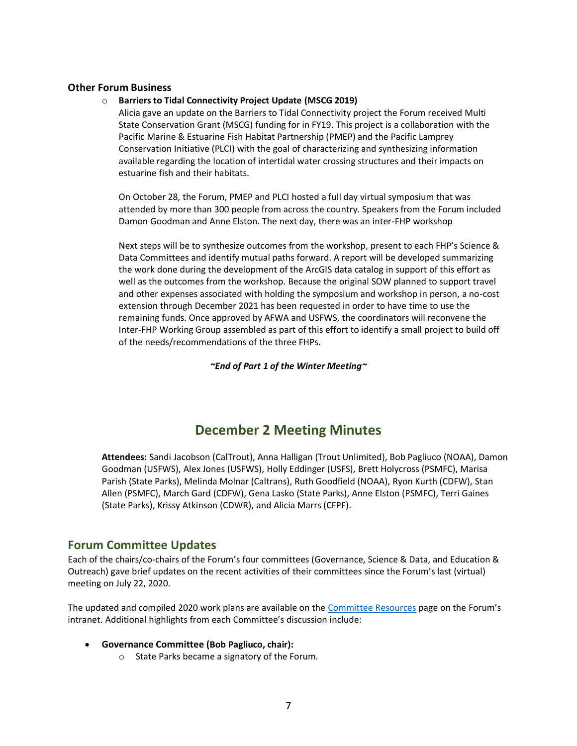#### **Other Forum Business**

#### o **Barriers to Tidal Connectivity Project Update (MSCG 2019)**

Alicia gave an update on the Barriers to Tidal Connectivity project the Forum received Multi State Conservation Grant (MSCG) funding for in FY19. This project is a collaboration with the Pacific Marine & Estuarine Fish Habitat Partnership (PMEP) and the Pacific Lamprey Conservation Initiative (PLCI) with the goal of characterizing and synthesizing information available regarding the location of intertidal water crossing structures and their impacts on estuarine fish and their habitats.

On October 28, the Forum, PMEP and PLCI hosted a full day virtual symposium that was attended by more than 300 people from across the country. Speakers from the Forum included Damon Goodman and Anne Elston. The next day, there was an inter-FHP workshop

Next steps will be to synthesize outcomes from the workshop, present to each FHP's Science & Data Committees and identify mutual paths forward. A report will be developed summarizing the work done during the development of the ArcGIS data catalog in support of this effort as well as the outcomes from the workshop. Because the original SOW planned to support travel and other expenses associated with holding the symposium and workshop in person, a no-cost extension through December 2021 has been requested in order to have time to use the remaining funds. Once approved by AFWA and USFWS, the coordinators will reconvene the Inter-FHP Working Group assembled as part of this effort to identify a small project to build off of the needs/recommendations of the three FHPs.

*~End of Part 1 of the Winter Meeting~*

### **December 2 Meeting Minutes**

**Attendees:** Sandi Jacobson (CalTrout), Anna Halligan (Trout Unlimited), Bob Pagliuco (NOAA), Damon Goodman (USFWS), Alex Jones (USFWS), Holly Eddinger (USFS), Brett Holycross (PSMFC), Marisa Parish (State Parks), Melinda Molnar (Caltrans), Ruth Goodfield (NOAA), Ryon Kurth (CDFW), Stan Allen (PSMFC), March Gard (CDFW), Gena Lasko (State Parks), Anne Elston (PSMFC), Terri Gaines (State Parks), Krissy Atkinson (CDWR), and Alicia Marrs (CFPF).

#### **Forum Committee Updates**

Each of the chairs/co-chairs of the Forum's four committees (Governance, Science & Data, and Education & Outreach) gave brief updates on the recent activities of their committees since the Forum's last (virtual) meeting on July 22, 2020.

The updated and compiled 2020 work plans are available on th[e Committee Resources](https://www.cafishpassageforum.org/committee-resources-2) page on the Forum's intranet. Additional highlights from each Committee's discussion include:

- **Governance Committee (Bob Pagliuco, chair):**
	- o State Parks became a signatory of the Forum.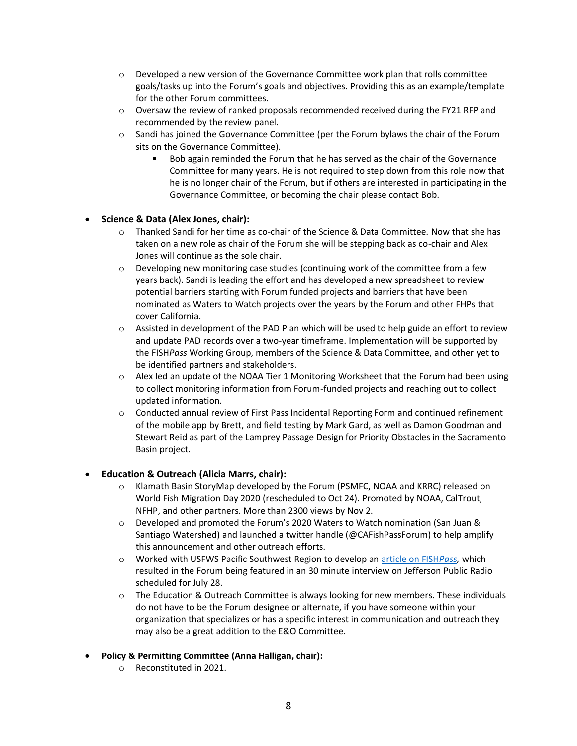- $\circ$  Developed a new version of the Governance Committee work plan that rolls committee goals/tasks up into the Forum's goals and objectives. Providing this as an example/template for the other Forum committees.
- $\circ$  Oversaw the review of ranked proposals recommended received during the FY21 RFP and recommended by the review panel.
- o Sandi has joined the Governance Committee (per the Forum bylaws the chair of the Forum sits on the Governance Committee).
	- Bob again reminded the Forum that he has served as the chair of the Governance Committee for many years. He is not required to step down from this role now that he is no longer chair of the Forum, but if others are interested in participating in the Governance Committee, or becoming the chair please contact Bob.

#### • **Science & Data (Alex Jones, chair):**

- o Thanked Sandi for her time as co-chair of the Science & Data Committee. Now that she has taken on a new role as chair of the Forum she will be stepping back as co-chair and Alex Jones will continue as the sole chair.
- $\circ$  Developing new monitoring case studies (continuing work of the committee from a few years back). Sandi is leading the effort and has developed a new spreadsheet to review potential barriers starting with Forum funded projects and barriers that have been nominated as Waters to Watch projects over the years by the Forum and other FHPs that cover California.
- $\circ$  Assisted in development of the PAD Plan which will be used to help guide an effort to review and update PAD records over a two-year timeframe. Implementation will be supported by the FISH*Pass* Working Group, members of the Science & Data Committee, and other yet to be identified partners and stakeholders.
- $\circ$  Alex led an update of the NOAA Tier 1 Monitoring Worksheet that the Forum had been using to collect monitoring information from Forum-funded projects and reaching out to collect updated information.
- $\circ$  Conducted annual review of First Pass Incidental Reporting Form and continued refinement of the mobile app by Brett, and field testing by Mark Gard, as well as Damon Goodman and Stewart Reid as part of the Lamprey Passage Design for Priority Obstacles in the Sacramento Basin project.

#### • **Education & Outreach (Alicia Marrs, chair):**

- o Klamath Basin StoryMap developed by the Forum (PSMFC, NOAA and KRRC) released on World Fish Migration Day 2020 (rescheduled to Oct 24). Promoted by NOAA, CalTrout, NFHP, and other partners. More than 2300 views by Nov 2.
- o Developed and promoted the Forum's 2020 Waters to Watch nomination (San Juan & Santiago Watershed) and launched a twitter handle (@CAFishPassForum) to help amplify this announcement and other outreach efforts.
- o Worked with USFWS Pacific Southwest Region to develop a[n article on FISH](https://www.fws.gov/cno/newsroom/Highlights/2020/Finding_Their_Way_Fish_Pass/)*Pass,* which resulted in the Forum being featured in an 30 minute interview on Jefferson Public Radio scheduled for July 28.
- o The Education & Outreach Committee is always looking for new members. These individuals do not have to be the Forum designee or alternate, if you have someone within your organization that specializes or has a specific interest in communication and outreach they may also be a great addition to the E&O Committee.

#### • **Policy & Permitting Committee (Anna Halligan, chair):**

o Reconstituted in 2021.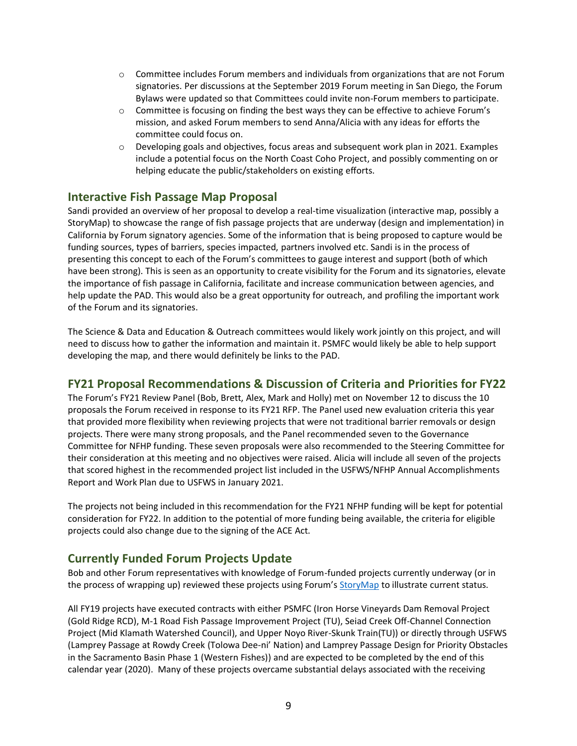- $\circ$  Committee includes Forum members and individuals from organizations that are not Forum signatories. Per discussions at the September 2019 Forum meeting in San Diego, the Forum Bylaws were updated so that Committees could invite non-Forum members to participate.
- o Committee is focusing on finding the best ways they can be effective to achieve Forum's mission, and asked Forum members to send Anna/Alicia with any ideas for efforts the committee could focus on.
- o Developing goals and objectives, focus areas and subsequent work plan in 2021. Examples include a potential focus on the North Coast Coho Project, and possibly commenting on or helping educate the public/stakeholders on existing efforts.

#### **Interactive Fish Passage Map Proposal**

Sandi provided an overview of her proposal to develop a real-time visualization (interactive map, possibly a StoryMap) to showcase the range of fish passage projects that are underway (design and implementation) in California by Forum signatory agencies. Some of the information that is being proposed to capture would be funding sources, types of barriers, species impacted, partners involved etc. Sandi is in the process of presenting this concept to each of the Forum's committees to gauge interest and support (both of which have been strong). This is seen as an opportunity to create visibility for the Forum and its signatories, elevate the importance of fish passage in California, facilitate and increase communication between agencies, and help update the PAD. This would also be a great opportunity for outreach, and profiling the important work of the Forum and its signatories.

The Science & Data and Education & Outreach committees would likely work jointly on this project, and will need to discuss how to gather the information and maintain it. PSMFC would likely be able to help support developing the map, and there would definitely be links to the PAD.

#### **FY21 Proposal Recommendations & Discussion of Criteria and Priorities for FY22**

The Forum's FY21 Review Panel (Bob, Brett, Alex, Mark and Holly) met on November 12 to discuss the 10 proposals the Forum received in response to its FY21 RFP. The Panel used new evaluation criteria this year that provided more flexibility when reviewing projects that were not traditional barrier removals or design projects. There were many strong proposals, and the Panel recommended seven to the Governance Committee for NFHP funding. These seven proposals were also recommended to the Steering Committee for their consideration at this meeting and no objectives were raised. Alicia will include all seven of the projects that scored highest in the recommended project list included in the USFWS/NFHP Annual Accomplishments Report and Work Plan due to USFWS in January 2021.

The projects not being included in this recommendation for the FY21 NFHP funding will be kept for potential consideration for FY22. In addition to the potential of more funding being available, the criteria for eligible projects could also change due to the signing of the ACE Act.

#### **Currently Funded Forum Projects Update**

Bob and other Forum representatives with knowledge of Forum-funded projects currently underway (or in the process of wrapping up) reviewed these projects using Forum's [StoryMap](https://psmfc.maps.arcgis.com/apps/MapSeries/index.html?appid=73afb215f14f4324b095c59f299a88a3) to illustrate current status.

All FY19 projects have executed contracts with either PSMFC (Iron Horse Vineyards Dam Removal Project (Gold Ridge RCD), M-1 Road Fish Passage Improvement Project (TU), Seiad Creek Off-Channel Connection Project (Mid Klamath Watershed Council), and Upper Noyo River-Skunk Train(TU)) or directly through USFWS (Lamprey Passage at Rowdy Creek (Tolowa Dee-ni' Nation) and Lamprey Passage Design for Priority Obstacles in the Sacramento Basin Phase 1 (Western Fishes)) and are expected to be completed by the end of this calendar year (2020). Many of these projects overcame substantial delays associated with the receiving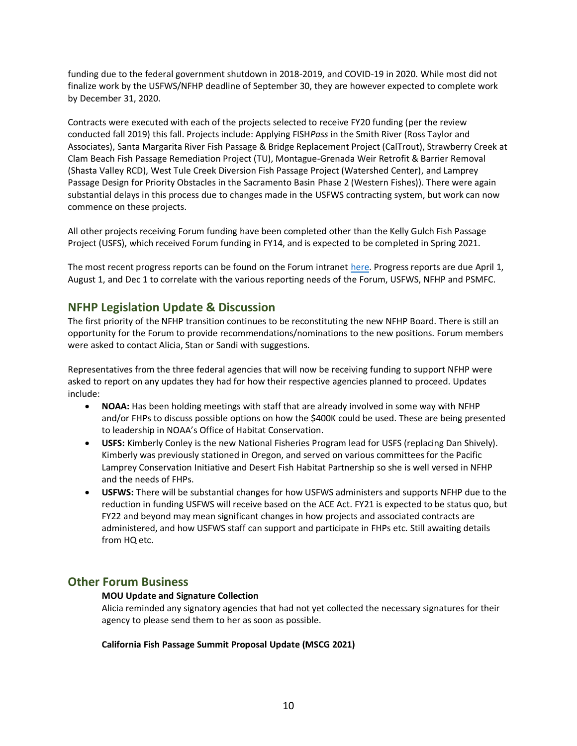funding due to the federal government shutdown in 2018-2019, and COVID-19 in 2020. While most did not finalize work by the USFWS/NFHP deadline of September 30, they are however expected to complete work by December 31, 2020.

Contracts were executed with each of the projects selected to receive FY20 funding (per the review conducted fall 2019) this fall. Projects include: Applying FISH*Pass* in the Smith River (Ross Taylor and Associates), Santa Margarita River Fish Passage & Bridge Replacement Project (CalTrout), Strawberry Creek at Clam Beach Fish Passage Remediation Project (TU), Montague-Grenada Weir Retrofit & Barrier Removal (Shasta Valley RCD), West Tule Creek Diversion Fish Passage Project (Watershed Center), and Lamprey Passage Design for Priority Obstacles in the Sacramento Basin Phase 2 (Western Fishes)). There were again substantial delays in this process due to changes made in the USFWS contracting system, but work can now commence on these projects.

All other projects receiving Forum funding have been completed other than the Kelly Gulch Fish Passage Project (USFS), which received Forum funding in FY14, and is expected to be completed in Spring 2021.

The most recent progress reports can be found on the Forum intranet [here.](https://www.cafishpassageforum.org/intranet) Progress reports are due April 1, August 1, and Dec 1 to correlate with the various reporting needs of the Forum, USFWS, NFHP and PSMFC.

#### **NFHP Legislation Update & Discussion**

The first priority of the NFHP transition continues to be reconstituting the new NFHP Board. There is still an opportunity for the Forum to provide recommendations/nominations to the new positions. Forum members were asked to contact Alicia, Stan or Sandi with suggestions.

Representatives from the three federal agencies that will now be receiving funding to support NFHP were asked to report on any updates they had for how their respective agencies planned to proceed. Updates include:

- **NOAA:** Has been holding meetings with staff that are already involved in some way with NFHP and/or FHPs to discuss possible options on how the \$400K could be used. These are being presented to leadership in NOAA's Office of Habitat Conservation.
- **USFS:** Kimberly Conley is the new National Fisheries Program lead for USFS (replacing Dan Shively). Kimberly was previously stationed in Oregon, and served on various committees for the Pacific Lamprey Conservation Initiative and Desert Fish Habitat Partnership so she is well versed in NFHP and the needs of FHPs.
- **USFWS:** There will be substantial changes for how USFWS administers and supports NFHP due to the reduction in funding USFWS will receive based on the ACE Act. FY21 is expected to be status quo, but FY22 and beyond may mean significant changes in how projects and associated contracts are administered, and how USFWS staff can support and participate in FHPs etc. Still awaiting details from HQ etc.

#### **Other Forum Business**

#### **MOU Update and Signature Collection**

Alicia reminded any signatory agencies that had not yet collected the necessary signatures for their agency to please send them to her as soon as possible.

#### **California Fish Passage Summit Proposal Update (MSCG 2021)**